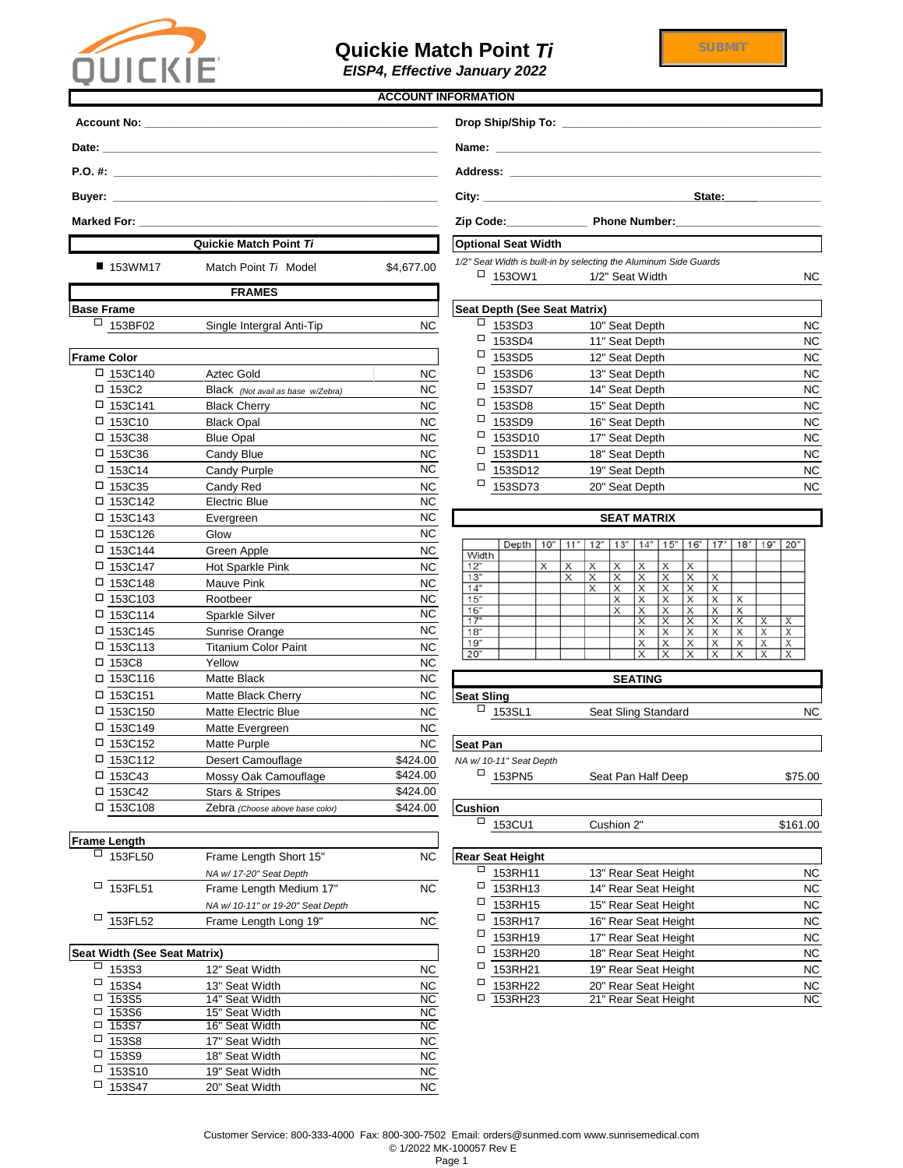| 153FL52                | Frame Length Long 19" | <b>NC</b> | ⊏<br>153RH17 | 16" Rear Seat Height | <b>NC</b> |
|------------------------|-----------------------|-----------|--------------|----------------------|-----------|
|                        |                       |           | ⊏<br>153RH19 | 17" Rear Seat Height | NC.       |
| idth (See Seat Matrix) |                       |           | ⊏<br>153RH20 | 18" Rear Seat Height | NC.       |
| 153S3                  | 12" Seat Width        | <b>NC</b> | ⊏<br>153RH21 | 19" Rear Seat Height | NC.       |
| 153S4                  | 13" Seat Width        | <b>NC</b> | ⊏<br>153RH22 | 20" Rear Seat Height | NC        |
| 153S5                  | 14" Seat Width        | <b>NC</b> | □<br>153RH23 | 21" Rear Seat Height | <b>NC</b> |

|                           |                                                                                                                                                                                                                                |                        | <b>ACCOUNT INFORMATION</b>               |                                                                         |                         |
|---------------------------|--------------------------------------------------------------------------------------------------------------------------------------------------------------------------------------------------------------------------------|------------------------|------------------------------------------|-------------------------------------------------------------------------|-------------------------|
|                           |                                                                                                                                                                                                                                |                        |                                          |                                                                         |                         |
|                           |                                                                                                                                                                                                                                |                        |                                          |                                                                         |                         |
|                           |                                                                                                                                                                                                                                |                        |                                          |                                                                         |                         |
|                           |                                                                                                                                                                                                                                |                        |                                          | State:                                                                  |                         |
|                           | Marked For: the contract of the contract of the contract of the contract of the contract of the contract of the contract of the contract of the contract of the contract of the contract of the contract of the contract of th |                        |                                          |                                                                         |                         |
|                           | <b>Quickie Match Point Ti</b>                                                                                                                                                                                                  |                        | <b>Optional Seat Width</b>               |                                                                         |                         |
|                           |                                                                                                                                                                                                                                |                        |                                          | 1/2" Seat Width is built-in by selecting the Aluminum Side Guards       |                         |
| ■ 153WM17                 | Match Point Ti Model                                                                                                                                                                                                           | \$4,677.00             | $\Box$ 1530W1                            | 1/2" Seat Width                                                         | <b>NC</b>               |
|                           | <b>FRAMES</b>                                                                                                                                                                                                                  |                        |                                          |                                                                         |                         |
| <b>Base Frame</b>         |                                                                                                                                                                                                                                |                        | <b>Seat Depth (See Seat Matrix)</b>      |                                                                         |                         |
| $\Box$<br>153BF02         | Single Intergral Anti-Tip                                                                                                                                                                                                      | <b>NC</b>              | $\Box$<br>153SD3                         | 10" Seat Depth                                                          | <b>NC</b>               |
|                           |                                                                                                                                                                                                                                |                        | $\Box$<br>153SD4                         | 11" Seat Depth                                                          | <b>NC</b>               |
| <b>Frame Color</b>        |                                                                                                                                                                                                                                |                        | 0<br>153SD5                              | 12" Seat Depth                                                          | <b>NC</b>               |
| □ 153C140                 | <b>Aztec Gold</b>                                                                                                                                                                                                              | NC                     | $\Box$<br>153SD6                         | 13" Seat Depth                                                          | <b>NC</b>               |
| $\Box$ 153C2              | Black (Not avail as base w/Zebra)                                                                                                                                                                                              | <b>NC</b>              | $\Box$<br>153SD7                         | 14" Seat Depth                                                          | <b>NC</b>               |
| $\Box$ 153C141            | <b>Black Cherry</b>                                                                                                                                                                                                            | <b>NC</b>              | □<br>153SD8                              | 15" Seat Depth                                                          | <b>NC</b>               |
| $\Box$ 153C10             | <b>Black Opal</b>                                                                                                                                                                                                              | NC                     | $\Box$<br>153SD9                         | 16" Seat Depth                                                          | <b>NC</b>               |
| □ 153C38                  | <b>Blue Opal</b>                                                                                                                                                                                                               | NC                     | $\Box$<br>153SD10                        | 17" Seat Depth                                                          | <b>NC</b>               |
| $\square$ 153C36          | Candy Blue                                                                                                                                                                                                                     | <b>NC</b>              | □<br>153SD11                             | 18" Seat Depth                                                          | <b>NC</b>               |
| $\square$ 153C14          | Candy Purple                                                                                                                                                                                                                   | <b>NC</b>              | $\Box$<br>153SD12<br>$\Box$              | 19" Seat Depth                                                          | <b>NC</b>               |
| □ 153C35                  | Candy Red                                                                                                                                                                                                                      | NC                     | 153SD73                                  | 20" Seat Depth                                                          | <b>NC</b>               |
| □ 153C142                 | <b>Electric Blue</b>                                                                                                                                                                                                           | <b>NC</b><br><b>NC</b> |                                          |                                                                         |                         |
| □ 153C143                 | Evergreen                                                                                                                                                                                                                      | <b>NC</b>              |                                          | <b>SEAT MATRIX</b>                                                      |                         |
| □ 153C126                 | Glow                                                                                                                                                                                                                           |                        |                                          | Depth   10"   11"   12"   13"   14"   15"   16"   17"   18"   19"   20" |                         |
| □ 153C144                 | Green Apple                                                                                                                                                                                                                    | NC                     | Width<br>12"                             |                                                                         |                         |
| 153C147<br>□              | Hot Sparkle Pink                                                                                                                                                                                                               | $NC$                   | х<br>13"                                 | Х<br>Х<br>Х<br>X<br>Х<br>х<br>Χ<br>Х<br>Х<br>Х<br>Х<br>X<br>X           |                         |
| $\square$ 153C148         | Mauve Pink                                                                                                                                                                                                                     | <b>NC</b>              | 14"                                      | X<br>Χ<br>х<br>Х<br>Х<br>Х                                              |                         |
| □ 153C103                 | Rootbeer                                                                                                                                                                                                                       | NC                     | 15"<br>16"                               | Х<br>Х<br>Х<br>X<br>Х<br>Х<br>Х<br>Х                                    | Х<br>Х                  |
| □ 153C114                 | Sparkle Silver                                                                                                                                                                                                                 | $NC$<br><b>NC</b>      | 17"                                      | X<br>х<br>Х<br>Х                                                        | х<br>Х<br>Х             |
| $\square$ 153C145         | Sunrise Orange                                                                                                                                                                                                                 |                        | 18 <sup>th</sup><br>19 <sup>°</sup>      | Χ<br>Χ<br>Χ<br>Х<br>Х<br>Х<br>Х<br>Х                                    | X<br>Х<br>  X<br>Х<br>х |
| $\Box$ 153C113<br>□ 153C8 | <b>Titanium Color Paint</b><br>Yellow                                                                                                                                                                                          | <b>NC</b><br>NC        | 20 <sup>o</sup>                          | Х<br>Х<br>X<br>Х                                                        | $\mathsf{X}$<br>X<br>X  |
| □ 153C116                 | Matte Black                                                                                                                                                                                                                    | NC                     |                                          | <b>SEATING</b>                                                          |                         |
|                           |                                                                                                                                                                                                                                |                        |                                          |                                                                         |                         |
| □ 153C151<br>$\Box$       | Matte Black Cherry                                                                                                                                                                                                             | NC                     | <b>Seat Sling</b><br>$\Box$              |                                                                         |                         |
| 153C150                   | Matte Electric Blue                                                                                                                                                                                                            | <b>NC</b>              | 153SL1                                   | Seat Sling Standard                                                     | <b>NC</b>               |
| □ 153C149                 | Matte Evergreen                                                                                                                                                                                                                | <b>NC</b>              |                                          |                                                                         |                         |
| □ 153C152                 | Matte Purple                                                                                                                                                                                                                   | <b>NC</b>              | <b>Seat Pan</b>                          |                                                                         |                         |
| $\square$ 153C112         | Desert Camouflage                                                                                                                                                                                                              | \$424.00<br>\$424.00   | NA w/ 10-11" Seat Depth<br>$\Box$ 153PN5 |                                                                         |                         |
| $\Box$ 153C43             | Mossy Oak Camouflage                                                                                                                                                                                                           | \$424.00               |                                          | Seat Pan Half Deep                                                      | \$75.00                 |
| □ 153C42<br>□ 153C108     | <b>Stars &amp; Stripes</b><br>Zebra (Choose above base color)                                                                                                                                                                  | \$424.00               |                                          |                                                                         |                         |
|                           |                                                                                                                                                                                                                                |                        | <b>Cushion</b><br>$\Box$<br>153CU1       | Cushion 2"                                                              | \$161.00                |
| <b>Frame Length</b>       |                                                                                                                                                                                                                                |                        |                                          |                                                                         |                         |
| □<br>153FL50              | Frame Length Short 15"                                                                                                                                                                                                         | $NC$                   | <b>Rear Seat Height</b>                  |                                                                         |                         |
|                           | NA w/ 17-20" Seat Depth                                                                                                                                                                                                        |                        | □<br>153RH11                             | 13" Rear Seat Height                                                    | <b>NC</b>               |
| $\Box$<br>153FL51         | Frame Length Medium 17"                                                                                                                                                                                                        | <b>NC</b>              | □<br>153RH13                             | 14" Rear Seat Height                                                    | <b>NC</b>               |
|                           | NA w/ 10-11" or 19-20" Seat Depth                                                                                                                                                                                              |                        | $\Box$<br>153RH15                        | 15" Rear Seat Height                                                    | <b>NC</b>               |
|                           |                                                                                                                                                                                                                                |                        |                                          |                                                                         |                         |

| □      | 153FL52                      | Frame Length Long 19" | <b>NC</b> |   | 153RH17 | 16" Rear Seat Height | <b>NC</b> |
|--------|------------------------------|-----------------------|-----------|---|---------|----------------------|-----------|
|        |                              |                       |           |   | 153RH19 | 17" Rear Seat Height | <b>NC</b> |
|        | Seat Width (See Seat Matrix) |                       |           | □ | 153RH20 | 18" Rear Seat Height | <b>NC</b> |
| □      | 153S3                        | 12" Seat Width        | <b>NC</b> |   | 153RH21 | 19" Rear Seat Height | <b>NC</b> |
| □      | 153S4                        | 13" Seat Width        | <b>NC</b> |   | 153RH22 | 20" Rear Seat Height | <b>NC</b> |
| □      | 153S5                        | 14" Seat Width        | <b>NC</b> | □ | 153RH23 | 21" Rear Seat Height | <b>NC</b> |
| □      | 153S6                        | 15" Seat Width        | <b>NC</b> |   |         |                      |           |
| □      | 153S7                        | 16" Seat Width        | NC.       |   |         |                      |           |
| □      | 153S8                        | 17" Seat Width        | <b>NC</b> |   |         |                      |           |
| □      | 153S9                        | 18" Seat Width        | <b>NC</b> |   |         |                      |           |
| $\Box$ | 153S10                       | 19" Seat Width        | <b>NC</b> |   |         |                      |           |
| □      | 153S47                       | 20" Seat Width        | <b>NC</b> |   |         |                      |           |



## **Quickie Match Point** *Ti*

*EISP4, Effective January 2022*

Customer Service: 800-333-4000 Fax: 800-300-7502 Email: orders@sunmed.com www.sunrisemedical.com © 1/2022 MK-100057 Rev E Page 1